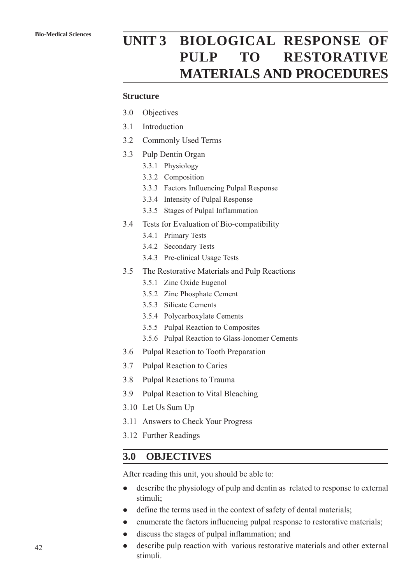# **Bio-Medical Sciences UNIT 3 BIOLOGICAL RESPONSE OF PULP TO RESTORATIVE MATERIALS AND PROCEDURES**

#### **Structure**

- 3.0 Objectives
- 3.1 Introduction
- 3.2 Commonly Used Terms
- 3.3 Pulp Dentin Organ
	- 3.3.1 Physiology
	- 3.3.2 Composition
	- 3.3.3 Factors Influencing Pulpal Response
	- 3.3.4 Intensity of Pulpal Response
	- 3.3.5 Stages of Pulpal Inflammation
- 3.4 Tests for Evaluation of Bio-compatibility
	- 3.4.1 Primary Tests
	- 3.4.2 Secondary Tests
	- 3.4.3 Pre-clinical Usage Tests
- 3.5 The Restorative Materials and Pulp Reactions
	- 3.5.1 Zinc Oxide Eugenol
	- 3.5.2 Zinc Phosphate Cement
	- 3.5.3 Silicate Cements
	- 3.5.4 Polycarboxylate Cements
	- 3.5.5 Pulpal Reaction to Composites
	- 3.5.6 Pulpal Reaction to Glass-Ionomer Cements
- 3.6 Pulpal Reaction to Tooth Preparation
- 3.7 Pulpal Reaction to Caries
- 3.8 Pulpal Reactions to Trauma
- 3.9 Pulpal Reaction to Vital Bleaching
- 3.10 Let Us Sum Up
- 3.11 Answers to Check Your Progress
- 3.12 Further Readings

## **3.0 OBJECTIVES**

After reading this unit, you should be able to:

- describe the physiology of pulp and dentin as related to response to external stimuli;
- define the terms used in the context of safety of dental materials;
- enumerate the factors influencing pulpal response to restorative materials;
- discuss the stages of pulpal inflammation; and
- describe pulp reaction with various restorative materials and other external stimuli.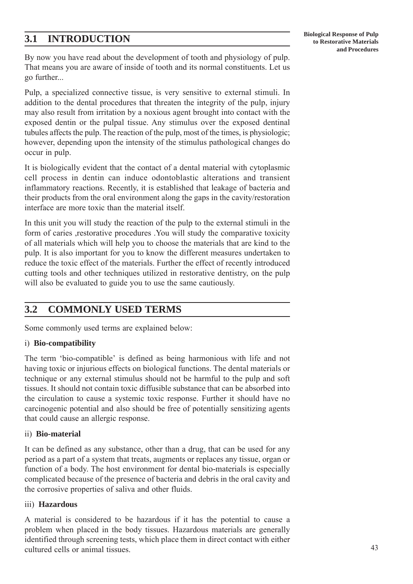## **3.1 INTRODUCTION**

By now you have read about the development of tooth and physiology of pulp. That means you are aware of inside of tooth and its normal constituents. Let us go further...

Pulp, a specialized connective tissue, is very sensitive to external stimuli. In addition to the dental procedures that threaten the integrity of the pulp, injury may also result from irritation by a noxious agent brought into contact with the exposed dentin or the pulpal tissue. Any stimulus over the exposed dentinal tubules affects the pulp. The reaction of the pulp, most of the times, is physiologic; however, depending upon the intensity of the stimulus pathological changes do occur in pulp.

It is biologically evident that the contact of a dental material with cytoplasmic cell process in dentin can induce odontoblastic alterations and transient inflammatory reactions. Recently, it is established that leakage of bacteria and their products from the oral environment along the gaps in the cavity/restoration interface are more toxic than the material itself.

In this unit you will study the reaction of the pulp to the external stimuli in the form of caries ,restorative procedures .You will study the comparative toxicity of all materials which will help you to choose the materials that are kind to the pulp. It is also important for you to know the different measures undertaken to reduce the toxic effect of the materials. Further the effect of recently introduced cutting tools and other techniques utilized in restorative dentistry, on the pulp will also be evaluated to guide you to use the same cautiously.

## **3.2 COMMONLY USED TERMS**

Some commonly used terms are explained below:

#### i) **Bio-compatibility**

The term 'bio-compatible' is defined as being harmonious with life and not having toxic or injurious effects on biological functions. The dental materials or technique or any external stimulus should not be harmful to the pulp and soft tissues. It should not contain toxic diffusible substance that can be absorbed into the circulation to cause a systemic toxic response. Further it should have no carcinogenic potential and also should be free of potentially sensitizing agents that could cause an allergic response.

#### ii) **Bio-material**

It can be defined as any substance, other than a drug, that can be used for any period as a part of a system that treats, augments or replaces any tissue, organ or function of a body. The host environment for dental bio-materials is especially complicated because of the presence of bacteria and debris in the oral cavity and the corrosive properties of saliva and other fluids.

#### iii) **Hazardous**

A material is considered to be hazardous if it has the potential to cause a problem when placed in the body tissues. Hazardous materials are generally identified through screening tests, which place them in direct contact with either cultured cells or animal tissues.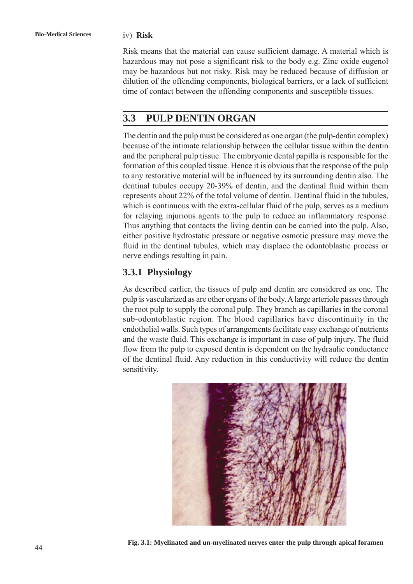Risk means that the material can cause sufficient damage. A material which is hazardous may not pose a significant risk to the body e.g. Zinc oxide eugenol may be hazardous but not risky. Risk may be reduced because of diffusion or dilution of the offending components, biological barriers, or a lack of sufficient time of contact between the offending components and susceptible tissues.

## **3.3 PULP DENTIN ORGAN**

The dentin and the pulp must be considered as one organ (the pulp-dentin complex) because of the intimate relationship between the cellular tissue within the dentin and the peripheral pulp tissue. The embryonic dental papilla is responsible for the formation of this coupled tissue. Hence it is obvious that the response of the pulp to any restorative material will be influenced by its surrounding dentin also. The dentinal tubules occupy 20-39% of dentin, and the dentinal fluid within them represents about 22% of the total volume of dentin. Dentinal fluid in the tubules, which is continuous with the extra-cellular fluid of the pulp, serves as a medium for relaying injurious agents to the pulp to reduce an inflammatory response. Thus anything that contacts the living dentin can be carried into the pulp. Also, either positive hydrostatic pressure or negative osmotic pressure may move the fluid in the dentinal tubules, which may displace the odontoblastic process or nerve endings resulting in pain.

## **3.3.1 Physiology**

As described earlier, the tissues of pulp and dentin are considered as one. The pulp is vascularized as are other organs of the body. A large arteriole passes through the root pulp to supply the coronal pulp. They branch as capillaries in the coronal sub-odontoblastic region. The blood capillaries have discontinuity in the endothelial walls. Such types of arrangements facilitate easy exchange of nutrients and the waste fluid. This exchange is important in case of pulp injury. The fluid flow from the pulp to exposed dentin is dependent on the hydraulic conductance of the dentinal fluid. Any reduction in this conductivity will reduce the dentin sensitivity.



**Fig. 3.1: Myelinated and un-myelinated nerves enter the pulp through apical foramen**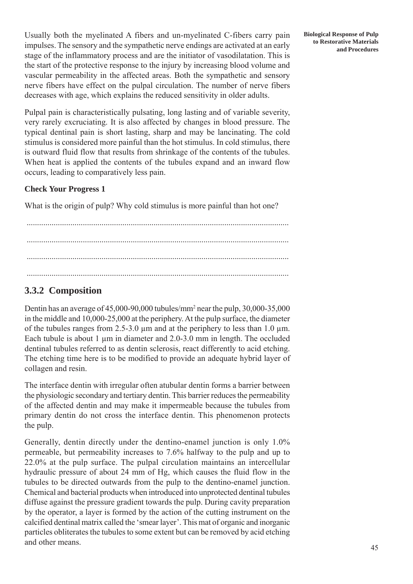Usually both the myelinated A fibers and un-myelinated C-fibers carry pain impulses. The sensory and the sympathetic nerve endings are activated at an early stage of the inflammatory process and are the initiator of vasodilatation. This is the start of the protective response to the injury by increasing blood volume and vascular permeability in the affected areas. Both the sympathetic and sensory nerve fibers have effect on the pulpal circulation. The number of nerve fibers decreases with age, which explains the reduced sensitivity in older adults.

Pulpal pain is characteristically pulsating, long lasting and of variable severity, very rarely excruciating. It is also affected by changes in blood pressure. The typical dentinal pain is short lasting, sharp and may be lancinating. The cold stimulus is considered more painful than the hot stimulus. In cold stimulus, there is outward fluid flow that results from shrinkage of the contents of the tubules. When heat is applied the contents of the tubules expand and an inward flow occurs, leading to comparatively less pain.

#### **Check Your Progress 1**

What is the origin of pulp? Why cold stimulus is more painful than hot one?

.............................................................................................................................. .............................................................................................................................. ..............................................................................................................................

## **3.3.2 Composition**

Dentin has an average of 45,000-90,000 tubules/mm2 near the pulp, 30,000-35,000 in the middle and 10,000-25,000 at the periphery. At the pulp surface, the diameter of the tubules ranges from 2.5-3.0 μm and at the periphery to less than 1.0 μm. Each tubule is about 1 um in diameter and 2.0-3.0 mm in length. The occluded dentinal tubules referred to as dentin sclerosis, react differently to acid etching. The etching time here is to be modified to provide an adequate hybrid layer of collagen and resin.

The interface dentin with irregular often atubular dentin forms a barrier between the physiologic secondary and tertiary dentin. This barrier reduces the permeability of the affected dentin and may make it impermeable because the tubules from primary dentin do not cross the interface dentin. This phenomenon protects the pulp.

Generally, dentin directly under the dentino-enamel junction is only 1.0% permeable, but permeability increases to 7.6% halfway to the pulp and up to 22.0% at the pulp surface. The pulpal circulation maintains an intercellular hydraulic pressure of about 24 mm of Hg, which causes the fluid flow in the tubules to be directed outwards from the pulp to the dentino-enamel junction. Chemical and bacterial products when introduced into unprotected dentinal tubules diffuse against the pressure gradient towards the pulp. During cavity preparation by the operator, a layer is formed by the action of the cutting instrument on the calcified dentinal matrix called the 'smear layer'. This mat of organic and inorganic particles obliterates the tubules to some extent but can be removed by acid etching and other means.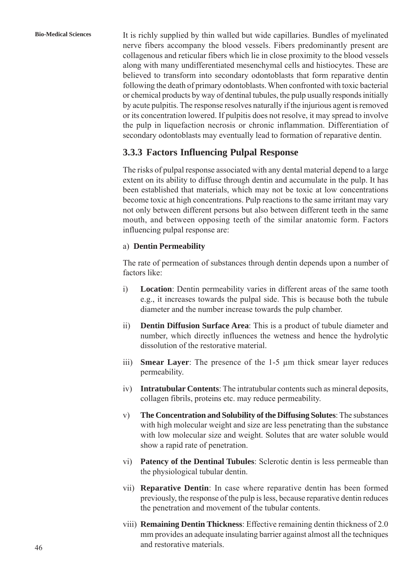**Bio-Medical Sciences** It is richly supplied by thin walled but wide capillaries. Bundles of myelinated nerve fibers accompany the blood vessels. Fibers predominantly present are collagenous and reticular fibers which lie in close proximity to the blood vessels along with many undifferentiated mesenchymal cells and histiocytes. These are believed to transform into secondary odontoblasts that form reparative dentin following the death of primary odontoblasts. When confronted with toxic bacterial or chemical products by way of dentinal tubules, the pulp usually responds initially by acute pulpitis. The response resolves naturally if the injurious agent is removed or its concentration lowered. If pulpitis does not resolve, it may spread to involve the pulp in liquefaction necrosis or chronic inflammation. Differentiation of secondary odontoblasts may eventually lead to formation of reparative dentin.

## **3.3.3 Factors Influencing Pulpal Response**

The risks of pulpal response associated with any dental material depend to a large extent on its ability to diffuse through dentin and accumulate in the pulp. It has been established that materials, which may not be toxic at low concentrations become toxic at high concentrations. Pulp reactions to the same irritant may vary not only between different persons but also between different teeth in the same mouth, and between opposing teeth of the similar anatomic form. Factors influencing pulpal response are:

#### a) **Dentin Permeability**

The rate of permeation of substances through dentin depends upon a number of factors like:

- i) **Location**: Dentin permeability varies in different areas of the same tooth e.g., it increases towards the pulpal side. This is because both the tubule diameter and the number increase towards the pulp chamber.
- ii) **Dentin Diffusion Surface Area**: This is a product of tubule diameter and number, which directly influences the wetness and hence the hydrolytic dissolution of the restorative material.
- iii) **Smear Layer**: The presence of the 1-5 μm thick smear layer reduces permeability.
- iv) **Intratubular Contents**: The intratubular contents such as mineral deposits, collagen fibrils, proteins etc. may reduce permeability.
- v) **The Concentration and Solubility of the Diffusing Solutes**: The substances with high molecular weight and size are less penetrating than the substance with low molecular size and weight. Solutes that are water soluble would show a rapid rate of penetration.
- vi) **Patency of the Dentinal Tubules**: Sclerotic dentin is less permeable than the physiological tubular dentin.
- vii) **Reparative Dentin**: In case where reparative dentin has been formed previously, the response of the pulp is less, because reparative dentin reduces the penetration and movement of the tubular contents.
- viii) **Remaining Dentin Thickness**: Effective remaining dentin thickness of 2.0 mm provides an adequate insulating barrier against almost all the techniques and restorative materials.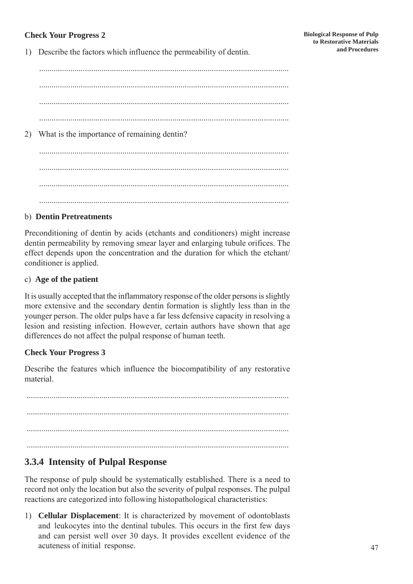### **Check Your Progress 2**

1) Describe the factors which influence the permeability of dentin.

........................................................................................................................ ........................................................................................................................ ........................................................................................................................ ........................................................................................................................ 2) What is the importance of remaining dentin? ........................................................................................................................ ........................................................................................................................ ........................................................................................................................ ........................................................................................................................

### b) **Dentin Pretreatments**

Preconditioning of dentin by acids (etchants and conditioners) might increase dentin permeability by removing smear layer and enlarging tubule orifices. The effect depends upon the concentration and the duration for which the etchant/ conditioner is applied.

#### c) **Age of the patient**

It is usually accepted that the inflammatory response of the older persons is slightly more extensive and the secondary dentin formation is slightly less than in the younger person. The older pulps have a far less defensive capacity in resolving a lesion and resisting infection. However, certain authors have shown that age differences do not affect the pulpal response of human teeth.

#### **Check Your Progress 3**

Describe the features which influence the biocompatibility of any restorative material.

.............................................................................................................................. .............................................................................................................................. ..............................................................................................................................

## **3.3.4 Intensity of Pulpal Response**

The response of pulp should be systematically established. There is a need to record not only the location but also the severity of pulpal responses. The pulpal reactions are categorized into following histopathological characteristics:

1) **Cellular Displacement**: It is characterized by movement of odontoblasts and leukocytes into the dentinal tubules. This occurs in the first few days and can persist well over 30 days. It provides excellent evidence of the acuteness of initial response.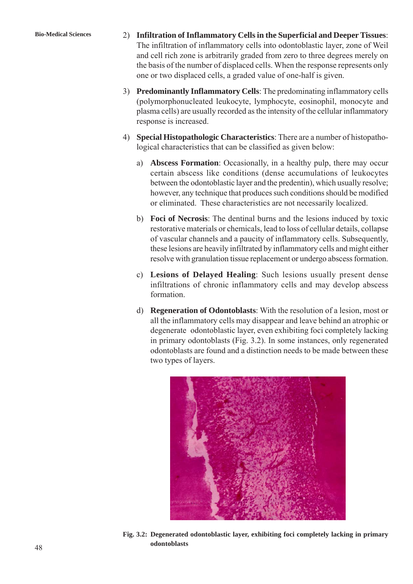- **Bio-Medical Sciences** 2) **Infiltration of Inflammatory Cells in the Superficial and Deeper Tissues**: The infiltration of inflammatory cells into odontoblastic layer, zone of Weil and cell rich zone is arbitrarily graded from zero to three degrees merely on the basis of the number of displaced cells. When the response represents only one or two displaced cells, a graded value of one-half is given.
	- 3) **Predominantly Inflammatory Cells**: The predominating inflammatory cells (polymorphonucleated leukocyte, lymphocyte, eosinophil, monocyte and plasma cells) are usually recorded as the intensity of the cellular inflammatory response is increased.
	- 4) **Special Histopathologic Characteristics**: There are a number of histopathological characteristics that can be classified as given below:
		- a) **Abscess Formation**: Occasionally, in a healthy pulp, there may occur certain abscess like conditions (dense accumulations of leukocytes between the odontoblastic layer and the predentin), which usually resolve; however, any technique that produces such conditions should be modified or eliminated. These characteristics are not necessarily localized.
		- b) **Foci of Necrosis**: The dentinal burns and the lesions induced by toxic restorative materials or chemicals, lead to loss of cellular details, collapse of vascular channels and a paucity of inflammatory cells. Subsequently, these lesions are heavily infiltrated by inflammatory cells and might either resolve with granulation tissue replacement or undergo abscess formation.
		- c) **Lesions of Delayed Healing**: Such lesions usually present dense infiltrations of chronic inflammatory cells and may develop abscess formation.
		- d) **Regeneration of Odontoblasts**: With the resolution of a lesion, most or all the inflammatory cells may disappear and leave behind an atrophic or degenerate odontoblastic layer, even exhibiting foci completely lacking in primary odontoblasts (Fig. 3.2). In some instances, only regenerated odontoblasts are found and a distinction needs to be made between these two types of layers.



**Fig. 3.2: Degenerated odontoblastic layer, exhibiting foci completely lacking in primary odontoblasts**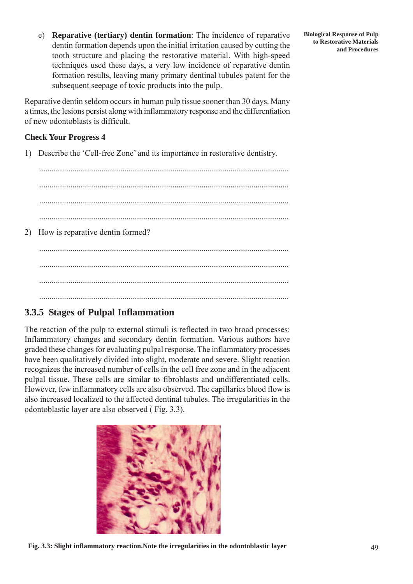e) **Reparative (tertiary) dentin formation**: The incidence of reparative dentin formation depends upon the initial irritation caused by cutting the tooth structure and placing the restorative material. With high-speed techniques used these days, a very low incidence of reparative dentin formation results, leaving many primary dentinal tubules patent for the subsequent seepage of toxic products into the pulp.

Reparative dentin seldom occurs in human pulp tissue sooner than 30 days. Many a times, the lesions persist along with inflammatory response and the differentiation of new odontoblasts is difficult.

#### **Check Your Progress 4**

1) Describe the 'Cell-free Zone' and its importance in restorative dentistry.

........................................................................................................................ ........................................................................................................................ ........................................................................................................................ ........................................................................................................................ 2) How is reparative dentin formed? ........................................................................................................................ ........................................................................................................................ ........................................................................................................................

## **3.3.5 Stages of Pulpal Inflammation**

The reaction of the pulp to external stimuli is reflected in two broad processes: Inflammatory changes and secondary dentin formation. Various authors have graded these changes for evaluating pulpal response. The inflammatory processes have been qualitatively divided into slight, moderate and severe. Slight reaction recognizes the increased number of cells in the cell free zone and in the adjacent pulpal tissue. These cells are similar to fibroblasts and undifferentiated cells. However, few inflammatory cells are also observed. The capillaries blood flow is also increased localized to the affected dentinal tubules. The irregularities in the odontoblastic layer are also observed ( Fig. 3.3).

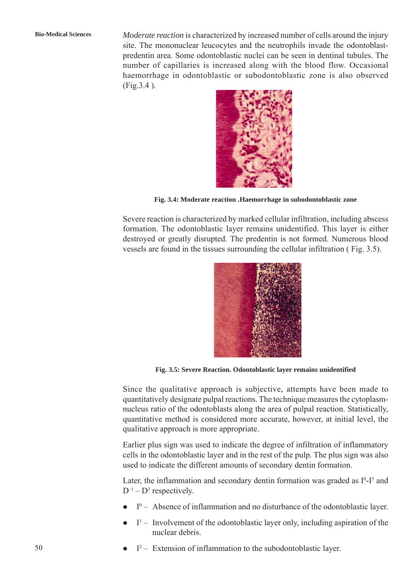**Bio-Medical Sciences** *Moderate reaction* is characterized by increased number of cells around the injury site. The mononuclear leucocytes and the neutrophils invade the odontoblastpredentin area. Some odontoblastic nuclei can be seen in dentinal tubules. The number of capillaries is increased along with the blood flow. Occasional haemorrhage in odontoblastic or subodontoblastic zone is also observed (Fig.3.4 ).



**Fig. 3.4: Moderate reaction .Haemorrhage in subodontoblastic zone**

Severe reaction is characterized by marked cellular infiltration, including abscess formation. The odontoblastic layer remains unidentified. This layer is either destroyed or greatly disrupted. The predentin is not formed. Numerous blood vessels are found in the tissues surrounding the cellular infiltration ( Fig. 3.5).



**Fig. 3.5: Severe Reaction. Odontoblastic layer remains unidentified**

Since the qualitative approach is subjective, attempts have been made to quantitatively designate pulpal reactions. The technique measures the cytoplasmnucleus ratio of the odontoblasts along the area of pulpal reaction. Statistically, quantitative method is considered more accurate, however, at initial level, the qualitative approach is more appropriate.

Earlier plus sign was used to indicate the degree of infiltration of inflammatory cells in the odontoblastic layer and in the rest of the pulp. The plus sign was also used to indicate the different amounts of secondary dentin formation.

Later, the inflammation and secondary dentin formation was graded as  $I^0$ - $I^3$  and  $D^{-1} - D^3$  respectively.

- $\bullet$  I<sup>0</sup> Absence of inflammation and no disturbance of the odontoblastic layer.
- $\bullet$  I<sup>1</sup> Involvement of the odontoblastic layer only, including aspiration of the nuclear debris.
- $I^2$  Extension of inflammation to the subodontoblastic layer.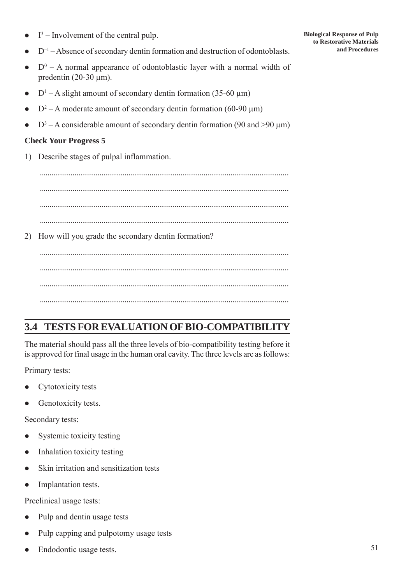$I<sup>3</sup>$  – Involvement of the central pulp.

- $D^{-1}$  Absence of secondary dentin formation and destruction of odontoblasts.
- $\bullet$   $D^0$  A normal appearance of odontoblastic layer with a normal width of predentin  $(20-30 \mu m)$ .
- $D^1 A$  slight amount of secondary dentin formation (35-60  $\mu$ m)
- $D^2 A$  moderate amount of secondary dentin formation (60-90  $\mu$ m)
- $D^3 A$  considerable amount of secondary dentin formation (90 and >90  $\mu$ m)

### **Check Your Progress 5**

1) Describe stages of pulpal inflammation.

........................................................................................................................ ........................................................................................................................ 2) How will you grade the secondary dentin formation?

........................................................................................................................ ........................................................................................................................ ........................................................................................................................

## **3.4 TESTS FOR EVALUATION OF BIO-COMPATIBILITY**

The material should pass all the three levels of bio-compatibility testing before it is approved for final usage in the human oral cavity. The three levels are as follows:

Primary tests:

- Cytotoxicity tests
- Genotoxicity tests.

Secondary tests:

- Systemic toxicity testing
- $\bullet$  Inhalation toxicity testing
- Skin irritation and sensitization tests
- Implantation tests.

Preclinical usage tests:

- Pulp and dentin usage tests
- Pulp capping and pulpotomy usage tests
- Endodontic usage tests.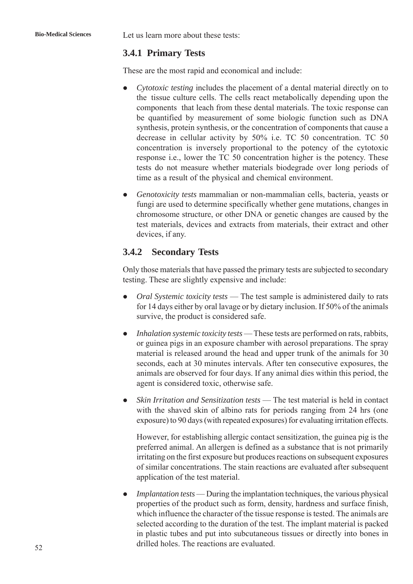**Bio-Medical Sciences** Let us learn more about these tests:

## **3.4.1 Primary Tests**

These are the most rapid and economical and include:

- *Cytotoxic testing* includes the placement of a dental material directly on to the tissue culture cells. The cells react metabolically depending upon the components that leach from these dental materials. The toxic response can be quantified by measurement of some biologic function such as DNA synthesis, protein synthesis, or the concentration of components that cause a decrease in cellular activity by 50% i.e. TC 50 concentration. TC 50 concentration is inversely proportional to the potency of the cytotoxic response i.e., lower the TC 50 concentration higher is the potency. These tests do not measure whether materials biodegrade over long periods of time as a result of the physical and chemical environment.
- z *Genotoxicity tests* mammalian or non-mammalian cells, bacteria, yeasts or fungi are used to determine specifically whether gene mutations, changes in chromosome structure, or other DNA or genetic changes are caused by the test materials, devices and extracts from materials, their extract and other devices, if any.

## **3.4.2 Secondary Tests**

Only those materials that have passed the primary tests are subjected to secondary testing. These are slightly expensive and include:

- *Oral Systemic toxicity tests* The test sample is administered daily to rats for 14 days either by oral lavage or by dietary inclusion. If 50% of the animals survive, the product is considered safe.
- *Inhalation systemic toxicity tests* These tests are performed on rats, rabbits, or guinea pigs in an exposure chamber with aerosol preparations. The spray material is released around the head and upper trunk of the animals for 30 seconds, each at 30 minutes intervals. After ten consecutive exposures, the animals are observed for four days. If any animal dies within this period, the agent is considered toxic, otherwise safe.
- *Skin Irritation and Sensitization tests* The test material is held in contact with the shaved skin of albino rats for periods ranging from 24 hrs (one exposure) to 90 days (with repeated exposures) for evaluating irritation effects.

However, for establishing allergic contact sensitization, the guinea pig is the preferred animal. An allergen is defined as a substance that is not primarily irritating on the first exposure but produces reactions on subsequent exposures of similar concentrations. The stain reactions are evaluated after subsequent application of the test material.

• *Implantation tests* — During the implantation techniques, the various physical properties of the product such as form, density, hardness and surface finish, which influence the character of the tissue response is tested. The animals are selected according to the duration of the test. The implant material is packed in plastic tubes and put into subcutaneous tissues or directly into bones in drilled holes. The reactions are evaluated.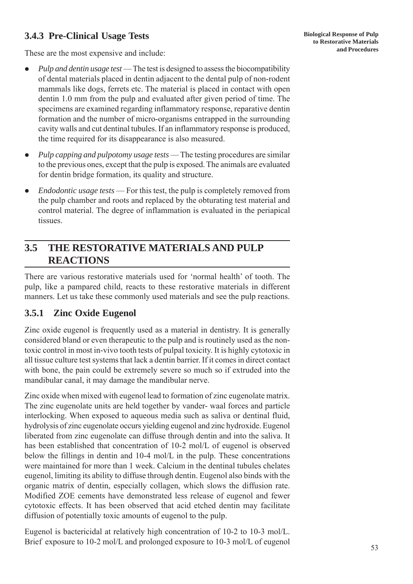## **3.4.3 Pre-Clinical Usage Tests**

These are the most expensive and include:

- *Pulp and dentin usage test* The test is designed to assess the biocompatibility of dental materials placed in dentin adjacent to the dental pulp of non-rodent mammals like dogs, ferrets etc. The material is placed in contact with open dentin 1.0 mm from the pulp and evaluated after given period of time. The specimens are examined regarding inflammatory response, reparative dentin formation and the number of micro-organisms entrapped in the surrounding cavity walls and cut dentinal tubules. If an inflammatory response is produced, the time required for its disappearance is also measured.
- *Pulp capping and pulpotomy usage tests* The testing procedures are similar to the previous ones, except that the pulp is exposed. The animals are evaluated for dentin bridge formation, its quality and structure.
- *Endodontic usage tests* For this test, the pulp is completely removed from the pulp chamber and roots and replaced by the obturating test material and control material. The degree of inflammation is evaluated in the periapical tissues.

## **3.5 THE RESTORATIVE MATERIALS AND PULP REACTIONS**

There are various restorative materials used for 'normal health' of tooth. The pulp, like a pampared child, reacts to these restorative materials in different manners. Let us take these commonly used materials and see the pulp reactions.

## **3.5.1 Zinc Oxide Eugenol**

Zinc oxide eugenol is frequently used as a material in dentistry. It is generally considered bland or even therapeutic to the pulp and is routinely used as the nontoxic control in most in-vivo tooth tests of pulpal toxicity. It is highly cytotoxic in all tissue culture test systems that lack a dentin barrier. If it comes in direct contact with bone, the pain could be extremely severe so much so if extruded into the mandibular canal, it may damage the mandibular nerve.

Zinc oxide when mixed with eugenol lead to formation of zinc eugenolate matrix. The zinc eugenolate units are held together by vander- waal forces and particle interlocking. When exposed to aqueous media such as saliva or dentinal fluid, hydrolysis of zinc eugenolate occurs yielding eugenol and zinc hydroxide. Eugenol liberated from zinc eugenolate can diffuse through dentin and into the saliva. It has been established that concentration of 10-2 mol/L of eugenol is observed below the fillings in dentin and 10-4 mol/L in the pulp. These concentrations were maintained for more than 1 week. Calcium in the dentinal tubules chelates eugenol, limiting its ability to diffuse through dentin. Eugenol also binds with the organic matrix of dentin, especially collagen, which slows the diffusion rate. Modified ZOE cements have demonstrated less release of eugenol and fewer cytotoxic effects. It has been observed that acid etched dentin may facilitate diffusion of potentially toxic amounts of eugenol to the pulp.

Eugenol is bactericidal at relatively high concentration of 10-2 to 10-3 mol/L. Brief exposure to 10-2 mol/L and prolonged exposure to 10-3 mol/L of eugenol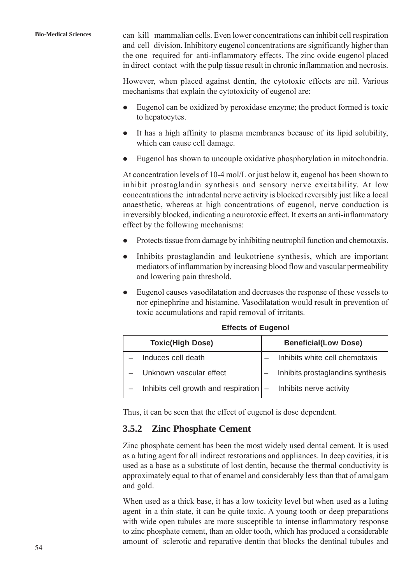However, when placed against dentin, the cytotoxic effects are nil. Various mechanisms that explain the cytotoxicity of eugenol are:

in direct contact with the pulp tissue result in chronic inflammation and necrosis.

- $\bullet$  Eugenol can be oxidized by peroxidase enzyme; the product formed is toxic to hepatocytes.
- It has a high affinity to plasma membranes because of its lipid solubility, which can cause cell damage.
- Eugenol has shown to uncouple oxidative phosphorylation in mitochondria.

At concentration levels of 10-4 mol/L or just below it, eugenol has been shown to inhibit prostaglandin synthesis and sensory nerve excitability. At low concentrations the intradental nerve activity is blocked reversibly just like a local anaesthetic, whereas at high concentrations of eugenol, nerve conduction is irreversibly blocked, indicating a neurotoxic effect. It exerts an anti-inflammatory effect by the following mechanisms:

- $\bullet$  Protects tissue from damage by inhibiting neutrophil function and chemotaxis.
- Inhibits prostaglandin and leukotriene synthesis, which are important mediators of inflammation by increasing blood flow and vascular permeability and lowering pain threshold.
- Eugenol causes vasodilatation and decreases the response of these vessels to nor epinephrine and histamine. Vasodilatation would result in prevention of toxic accumulations and rapid removal of irritants.

| <b>Toxic(High Dose)</b>                                                      | <b>Beneficial(Low Dose)</b>       |
|------------------------------------------------------------------------------|-----------------------------------|
| Induces cell death                                                           | - Inhibits white cell chemotaxis  |
| - Unknown vascular effect                                                    | Inhibits prostaglandins synthesis |
| Inhibits cell growth and respiration $\vert - \vert$ Inhibits nerve activity |                                   |

**Effects of Eugenol**

Thus, it can be seen that the effect of eugenol is dose dependent.

## **3.5.2 Zinc Phosphate Cement**

Zinc phosphate cement has been the most widely used dental cement. It is used as a luting agent for all indirect restorations and appliances. In deep cavities, it is used as a base as a substitute of lost dentin, because the thermal conductivity is approximately equal to that of enamel and considerably less than that of amalgam and gold.

When used as a thick base, it has a low toxicity level but when used as a luting agent in a thin state, it can be quite toxic. A young tooth or deep preparations with wide open tubules are more susceptible to intense inflammatory response to zinc phosphate cement, than an older tooth, which has produced a considerable amount of sclerotic and reparative dentin that blocks the dentinal tubules and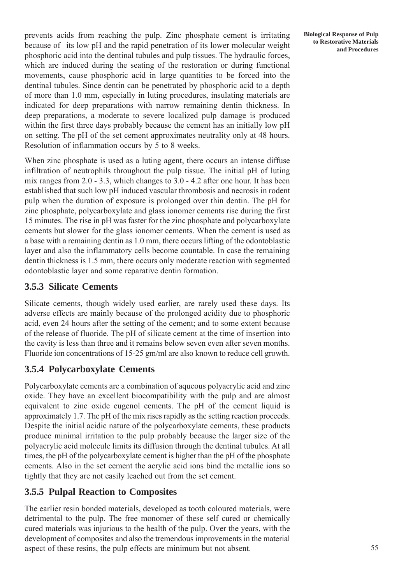prevents acids from reaching the pulp. Zinc phosphate cement is irritating because of its low pH and the rapid penetration of its lower molecular weight phosphoric acid into the dentinal tubules and pulp tissues. The hydraulic forces, which are induced during the seating of the restoration or during functional movements, cause phosphoric acid in large quantities to be forced into the dentinal tubules. Since dentin can be penetrated by phosphoric acid to a depth of more than 1.0 mm, especially in luting procedures, insulating materials are indicated for deep preparations with narrow remaining dentin thickness. In deep preparations, a moderate to severe localized pulp damage is produced within the first three days probably because the cement has an initially low pH on setting. The pH of the set cement approximates neutrality only at 48 hours. Resolution of inflammation occurs by 5 to 8 weeks.

When zinc phosphate is used as a luting agent, there occurs an intense diffuse infiltration of neutrophils throughout the pulp tissue. The initial pH of luting mix ranges from 2.0 - 3.3, which changes to 3.0 - 4.2 after one hour. It has been established that such low pH induced vascular thrombosis and necrosis in rodent pulp when the duration of exposure is prolonged over thin dentin. The pH for zinc phosphate, polycarboxylate and glass ionomer cements rise during the first 15 minutes. The rise in pH was faster for the zinc phosphate and polycarboxylate cements but slower for the glass ionomer cements. When the cement is used as a base with a remaining dentin as 1.0 mm, there occurs lifting of the odontoblastic layer and also the inflammatory cells become countable. In case the remaining dentin thickness is 1.5 mm, there occurs only moderate reaction with segmented odontoblastic layer and some reparative dentin formation.

## **3.5.3 Silicate Cements**

Silicate cements, though widely used earlier, are rarely used these days. Its adverse effects are mainly because of the prolonged acidity due to phosphoric acid, even 24 hours after the setting of the cement; and to some extent because of the release of fluoride. The pH of silicate cement at the time of insertion into the cavity is less than three and it remains below seven even after seven months. Fluoride ion concentrations of 15-25 gm/ml are also known to reduce cell growth.

## **3.5.4 Polycarboxylate Cements**

Polycarboxylate cements are a combination of aqueous polyacrylic acid and zinc oxide. They have an excellent biocompatibility with the pulp and are almost equivalent to zinc oxide eugenol cements. The pH of the cement liquid is approximately 1.7. The pH of the mix rises rapidly as the setting reaction proceeds. Despite the initial acidic nature of the polycarboxylate cements, these products produce minimal irritation to the pulp probably because the larger size of the polyacrylic acid molecule limits its diffusion through the dentinal tubules. At all times, the pH of the polycarboxylate cement is higher than the pH of the phosphate cements. Also in the set cement the acrylic acid ions bind the metallic ions so tightly that they are not easily leached out from the set cement.

## **3.5.5 Pulpal Reaction to Composites**

The earlier resin bonded materials, developed as tooth coloured materials, were detrimental to the pulp. The free monomer of these self cured or chemically cured materials was injurious to the health of the pulp. Over the years, with the development of composites and also the tremendous improvements in the material aspect of these resins, the pulp effects are minimum but not absent.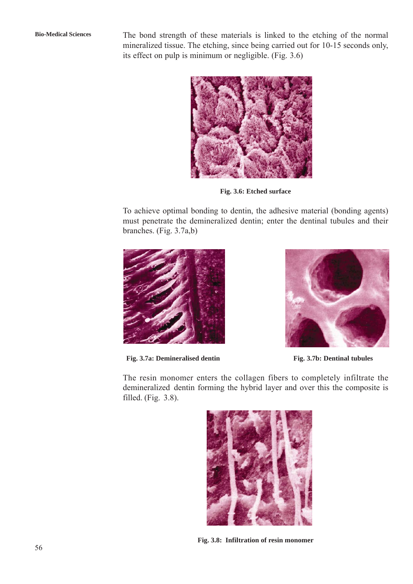**Bio-Medical Sciences** The bond strength of these materials is linked to the etching of the normal mineralized tissue. The etching, since being carried out for 10-15 seconds only, its effect on pulp is minimum or negligible. (Fig. 3.6)



**Fig. 3.6: Etched surface**

To achieve optimal bonding to dentin, the adhesive material (bonding agents) must penetrate the demineralized dentin; enter the dentinal tubules and their branches. (Fig. 3.7a,b)



**Fig. 3.7a: Demineralised dentin Fig. 3.7b: Dentinal tubules**



The resin monomer enters the collagen fibers to completely infiltrate the demineralized dentin forming the hybrid layer and over this the composite is filled. (Fig. 3.8).



**Fig. 3.8: Infiltration of resin monomer**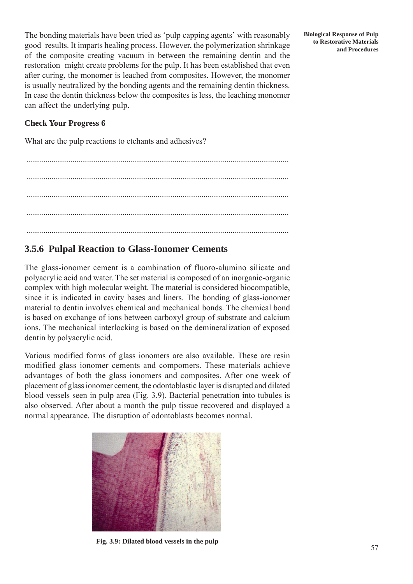The bonding materials have been tried as 'pulp capping agents' with reasonably good results. It imparts healing process. However, the polymerization shrinkage of the composite creating vacuum in between the remaining dentin and the restoration might create problems for the pulp. It has been established that even after curing, the monomer is leached from composites. However, the monomer is usually neutralized by the bonding agents and the remaining dentin thickness. In case the dentin thickness below the composites is less, the leaching monomer can affect the underlying pulp.

#### **Check Your Progress 6**

What are the pulp reactions to etchants and adhesives?

.............................................................................................................................. .............................................................................................................................. .............................................................................................................................. ..............................................................................................................................

## **3.5.6 Pulpal Reaction to Glass-Ionomer Cements**

The glass-ionomer cement is a combination of fluoro-alumino silicate and polyacrylic acid and water. The set material is composed of an inorganic-organic complex with high molecular weight. The material is considered biocompatible, since it is indicated in cavity bases and liners. The bonding of glass-ionomer material to dentin involves chemical and mechanical bonds. The chemical bond is based on exchange of ions between carboxyl group of substrate and calcium ions. The mechanical interlocking is based on the demineralization of exposed dentin by polyacrylic acid.

Various modified forms of glass ionomers are also available. These are resin modified glass ionomer cements and compomers. These materials achieve advantages of both the glass ionomers and composites. After one week of placement of glass ionomer cement, the odontoblastic layer is disrupted and dilated blood vessels seen in pulp area (Fig. 3.9). Bacterial penetration into tubules is also observed. After about a month the pulp tissue recovered and displayed a normal appearance. The disruption of odontoblasts becomes normal.



**Fig. 3.9: Dilated blood vessels in the pulp**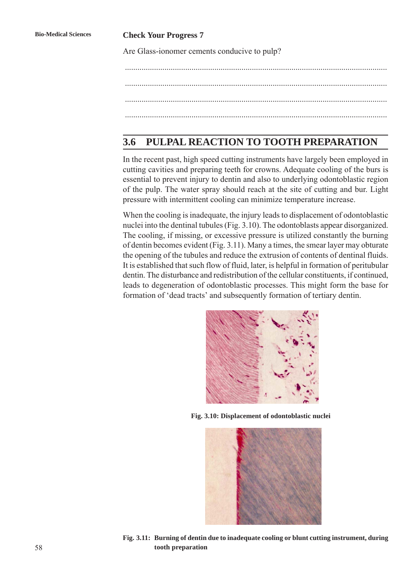#### **Bio-Medical Sciences Check Your Progress 7**

Are Glass-ionomer cements conducive to pulp?

.............................................................................................................................. .............................................................................................................................. ..............................................................................................................................

## **3.6 PULPAL REACTION TO TOOTH PREPARATION**

In the recent past, high speed cutting instruments have largely been employed in cutting cavities and preparing teeth for crowns. Adequate cooling of the burs is essential to prevent injury to dentin and also to underlying odontoblastic region of the pulp. The water spray should reach at the site of cutting and bur. Light pressure with intermittent cooling can minimize temperature increase.

When the cooling is inadequate, the injury leads to displacement of odontoblastic nuclei into the dentinal tubules (Fig. 3.10). The odontoblasts appear disorganized. The cooling, if missing, or excessive pressure is utilized constantly the burning of dentin becomes evident (Fig. 3.11). Many a times, the smear layer may obturate the opening of the tubules and reduce the extrusion of contents of dentinal fluids. It is established that such flow of fluid, later, is helpful in formation of peritubular dentin. The disturbance and redistribution of the cellular constituents, if continued, leads to degeneration of odontoblastic processes. This might form the base for formation of 'dead tracts' and subsequently formation of tertiary dentin.



**Fig. 3.10: Displacement of odontoblastic nuclei**



**Fig. 3.11: Burning of dentin due to inadequate cooling or blunt cutting instrument, during tooth preparation**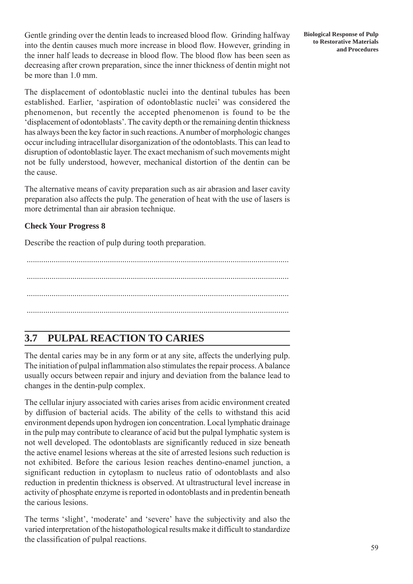Gentle grinding over the dentin leads to increased blood flow. Grinding halfway into the dentin causes much more increase in blood flow. However, grinding in the inner half leads to decrease in blood flow. The blood flow has been seen as decreasing after crown preparation, since the inner thickness of dentin might not be more than 1.0 mm.

The displacement of odontoblastic nuclei into the dentinal tubules has been established. Earlier, 'aspiration of odontoblastic nuclei' was considered the phenomenon, but recently the accepted phenomenon is found to be the 'displacement of odontoblasts'. The cavity depth or the remaining dentin thickness has always been the key factor in such reactions. A number of morphologic changes occur including intracellular disorganization of the odontoblasts. This can lead to disruption of odontoblastic layer. The exact mechanism of such movements might not be fully understood, however, mechanical distortion of the dentin can be the cause.

The alternative means of cavity preparation such as air abrasion and laser cavity preparation also affects the pulp. The generation of heat with the use of lasers is more detrimental than air abrasion technique.

### **Check Your Progress 8**

Describe the reaction of pulp during tooth preparation.

.............................................................................................................................. .............................................................................................................................. ..............................................................................................................................

## **3.7 PULPAL REACTION TO CARIES**

The dental caries may be in any form or at any site, affects the underlying pulp. The initiation of pulpal inflammation also stimulates the repair process. A balance usually occurs between repair and injury and deviation from the balance lead to changes in the dentin-pulp complex.

The cellular injury associated with caries arises from acidic environment created by diffusion of bacterial acids. The ability of the cells to withstand this acid environment depends upon hydrogen ion concentration. Local lymphatic drainage in the pulp may contribute to clearance of acid but the pulpal lymphatic system is not well developed. The odontoblasts are significantly reduced in size beneath the active enamel lesions whereas at the site of arrested lesions such reduction is not exhibited. Before the carious lesion reaches dentino-enamel junction, a significant reduction in cytoplasm to nucleus ratio of odontoblasts and also reduction in predentin thickness is observed. At ultrastructural level increase in activity of phosphate enzyme is reported in odontoblasts and in predentin beneath the carious lesions.

The terms 'slight', 'moderate' and 'severe' have the subjectivity and also the varied interpretation of the histopathological results make it difficult to standardize the classification of pulpal reactions.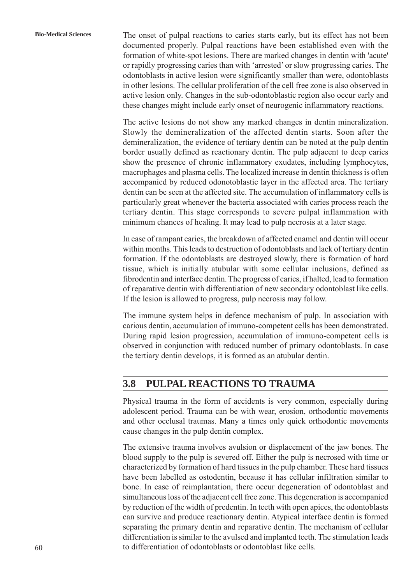**Bio-Medical Sciences** The onset of pulpal reactions to caries starts early, but its effect has not been documented properly. Pulpal reactions have been established even with the formation of white-spot lesions. There are marked changes in dentin with 'acute' or rapidly progressing caries than with 'arrested' or slow progressing caries. The odontoblasts in active lesion were significantly smaller than were, odontoblasts in other lesions. The cellular proliferation of the cell free zone is also observed in active lesion only. Changes in the sub-odontoblastic region also occur early and these changes might include early onset of neurogenic inflammatory reactions.

> The active lesions do not show any marked changes in dentin mineralization. Slowly the demineralization of the affected dentin starts. Soon after the demineralization, the evidence of tertiary dentin can be noted at the pulp dentin border usually defined as reactionary dentin. The pulp adjacent to deep caries show the presence of chronic inflammatory exudates, including lymphocytes, macrophages and plasma cells. The localized increase in dentin thickness is often accompanied by reduced odonotoblastic layer in the affected area. The tertiary dentin can be seen at the affected site. The accumulation of inflammatory cells is particularly great whenever the bacteria associated with caries process reach the tertiary dentin. This stage corresponds to severe pulpal inflammation with minimum chances of healing. It may lead to pulp necrosis at a later stage.

> In case of rampant caries, the breakdown of affected enamel and dentin will occur within months. This leads to destruction of odontoblasts and lack of tertiary dentin formation. If the odontoblasts are destroyed slowly, there is formation of hard tissue, which is initially atubular with some cellular inclusions, defined as fibrodentin and interface dentin. The progress of caries, if halted, lead to formation of reparative dentin with differentiation of new secondary odontoblast like cells. If the lesion is allowed to progress, pulp necrosis may follow.

> The immune system helps in defence mechanism of pulp. In association with carious dentin, accumulation of immuno-competent cells has been demonstrated. During rapid lesion progression, accumulation of immuno-competent cells is observed in conjunction with reduced number of primary odontoblasts. In case the tertiary dentin develops, it is formed as an atubular dentin.

## **3.8 PULPAL REACTIONS TO TRAUMA**

Physical trauma in the form of accidents is very common, especially during adolescent period. Trauma can be with wear, erosion, orthodontic movements and other occlusal traumas. Many a times only quick orthodontic movements cause changes in the pulp dentin complex.

The extensive trauma involves avulsion or displacement of the jaw bones. The blood supply to the pulp is severed off. Either the pulp is necrosed with time or characterized by formation of hard tissues in the pulp chamber. These hard tissues have been labelled as ostodentin, because it has cellular infiltration similar to bone. In case of reimplantation, there occur degeneration of odontoblast and simultaneous loss of the adjacent cell free zone. This degeneration is accompanied by reduction of the width of predentin. In teeth with open apices, the odontoblasts can survive and produce reactionary dentin. Atypical interface dentin is formed separating the primary dentin and reparative dentin. The mechanism of cellular differentiation is similar to the avulsed and implanted teeth. The stimulation leads to differentiation of odontoblasts or odontoblast like cells.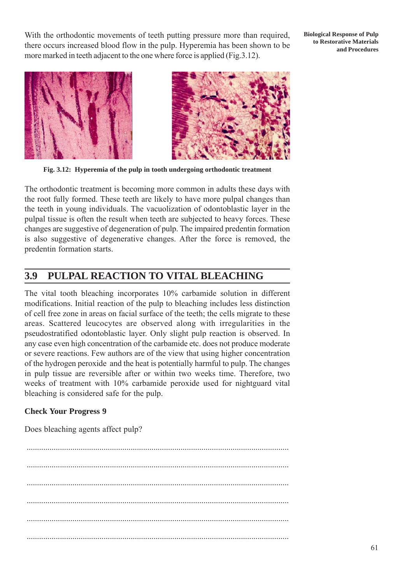With the orthodontic movements of teeth putting pressure more than required, there occurs increased blood flow in the pulp. Hyperemia has been shown to be more marked in teeth adjacent to the one where force is applied (Fig.3.12).

**Biological Response of Pulp to Restorative Materials and Procedures**



**Fig. 3.12: Hyperemia of the pulp in tooth undergoing orthodontic treatment**

The orthodontic treatment is becoming more common in adults these days with the root fully formed. These teeth are likely to have more pulpal changes than the teeth in young individuals. The vacuolization of odontoblastic layer in the pulpal tissue is often the result when teeth are subjected to heavy forces. These changes are suggestive of degeneration of pulp. The impaired predentin formation is also suggestive of degenerative changes. After the force is removed, the predentin formation starts.

## **3.9 PULPAL REACTION TO VITAL BLEACHING**

The vital tooth bleaching incorporates 10% carbamide solution in different modifications. Initial reaction of the pulp to bleaching includes less distinction of cell free zone in areas on facial surface of the teeth; the cells migrate to these areas. Scattered leucocytes are observed along with irregularities in the pseudostratified odontoblastic layer. Only slight pulp reaction is observed. In any case even high concentration of the carbamide etc. does not produce moderate or severe reactions. Few authors are of the view that using higher concentration of the hydrogen peroxide and the heat is potentially harmful to pulp. The changes in pulp tissue are reversible after or within two weeks time. Therefore, two weeks of treatment with 10% carbamide peroxide used for nightguard vital bleaching is considered safe for the pulp.

#### **Check Your Progress 9**

Does bleaching agents affect pulp?

.............................................................................................................................. .............................................................................................................................. .............................................................................................................................. .............................................................................................................................. ..............................................................................................................................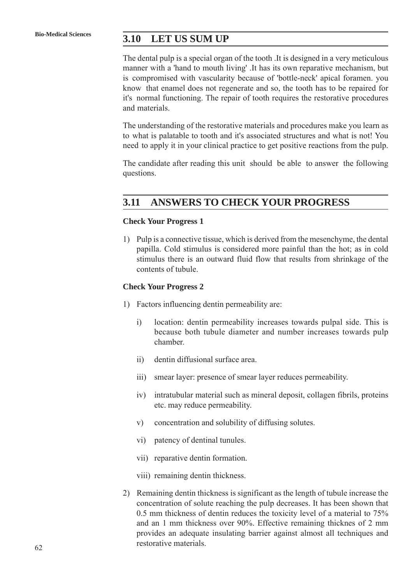## **Bio-Medical Sciences 3.10 LET US SUM UP**

The dental pulp is a special organ of the tooth .It is designed in a very meticulous manner with a 'hand to mouth living' .It has its own reparative mechanism, but is compromised with vascularity because of 'bottle-neck' apical foramen. you know that enamel does not regenerate and so, the tooth has to be repaired for it's normal functioning. The repair of tooth requires the restorative procedures and materials.

The understanding of the restorative materials and procedures make you learn as to what is palatable to tooth and it's associated structures and what is not! You need to apply it in your clinical practice to get positive reactions from the pulp.

The candidate after reading this unit should be able to answer the following questions.

## **3.11 ANSWERS TO CHECK YOUR PROGRESS**

#### **Check Your Progress 1**

1) Pulp is a connective tissue, which is derived from the mesenchyme, the dental papilla. Cold stimulus is considered more painful than the hot; as in cold stimulus there is an outward fluid flow that results from shrinkage of the contents of tubule.

#### **Check Your Progress 2**

- 1) Factors influencing dentin permeability are:
	- i) location: dentin permeability increases towards pulpal side. This is because both tubule diameter and number increases towards pulp chamber.
	- ii) dentin diffusional surface area.
	- iii) smear layer: presence of smear layer reduces permeability.
	- iv) intratubular material such as mineral deposit, collagen fibrils, proteins etc. may reduce permeability.
	- v) concentration and solubility of diffusing solutes.
	- vi) patency of dentinal tunules.
	- vii) reparative dentin formation.
	- viii) remaining dentin thickness.
- 2) Remaining dentin thickness is significant as the length of tubule increase the concentration of solute reaching the pulp decreases. It has been shown that 0.5 mm thickness of dentin reduces the toxicity level of a material to 75% and an 1 mm thickness over 90%. Effective remaining thicknes of 2 mm provides an adequate insulating barrier against almost all techniques and restorative materials.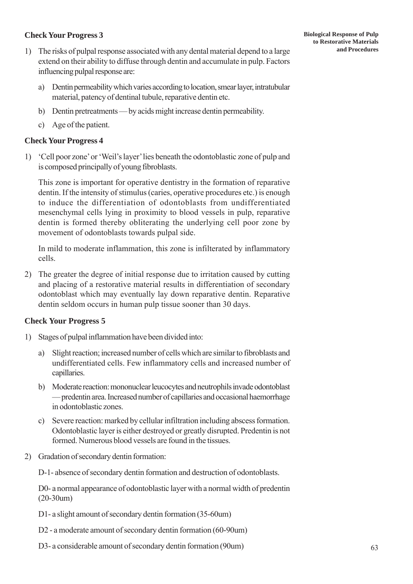### **Check Your Progress 3**

- 1) The risks of pulpal response associated with any dental material depend to a large extend on their ability to diffuse through dentin and accumulate in pulp. Factors influencing pulpal response are:
	- a) Dentin permeability which varies according to location, smear layer, intratubular material, patency of dentinal tubule, reparative dentin etc.
	- b) Dentin pretreatments by acids might increase dentin permeability.
	- c) Age of the patient.

### **Check Your Progress 4**

1) 'Cell poor zone' or 'Weil's layer' lies beneath the odontoblastic zone of pulp and is composed principally of young fibroblasts.

This zone is important for operative dentistry in the formation of reparative dentin. If the intensity of stimulus (caries, operative procedures etc.) is enough to induce the differentiation of odontoblasts from undifferentiated mesenchymal cells lying in proximity to blood vessels in pulp, reparative dentin is formed thereby obliterating the underlying cell poor zone by movement of odontoblasts towards pulpal side.

In mild to moderate inflammation, this zone is infilterated by inflammatory cells.

2) The greater the degree of initial response due to irritation caused by cutting and placing of a restorative material results in differentiation of secondary odontoblast which may eventually lay down reparative dentin. Reparative dentin seldom occurs in human pulp tissue sooner than 30 days.

#### **Check Your Progress 5**

- 1) Stages of pulpal inflammation have been divided into:
	- a) Slight reaction; increased number of cells which are similar to fibroblasts and undifferentiated cells. Few inflammatory cells and increased number of capillaries.
	- b) Moderate reaction: mononuclear leucocytes and neutrophils invade odontoblast — predentin area. Increased number of capillaries and occasional haemorrhage in odontoblastic zones.
	- c) Severe reaction: marked by cellular infiltration including abscess formation. Odontoblastic layer is either destroyed or greatly disrupted. Predentin is not formed. Numerous blood vessels are found in the tissues.
- 2) Gradation of secondary dentin formation:

D-1- absence of secondary dentin formation and destruction of odontoblasts.

D0- a normal appearance of odontoblastic layer with a normal width of predentin (20-30um)

- D1- a slight amount of secondary dentin formation (35-60um)
- D2 a moderate amount of secondary dentin formation (60-90um)
- D3- a considerable amount of secondary dentin formation (90um)